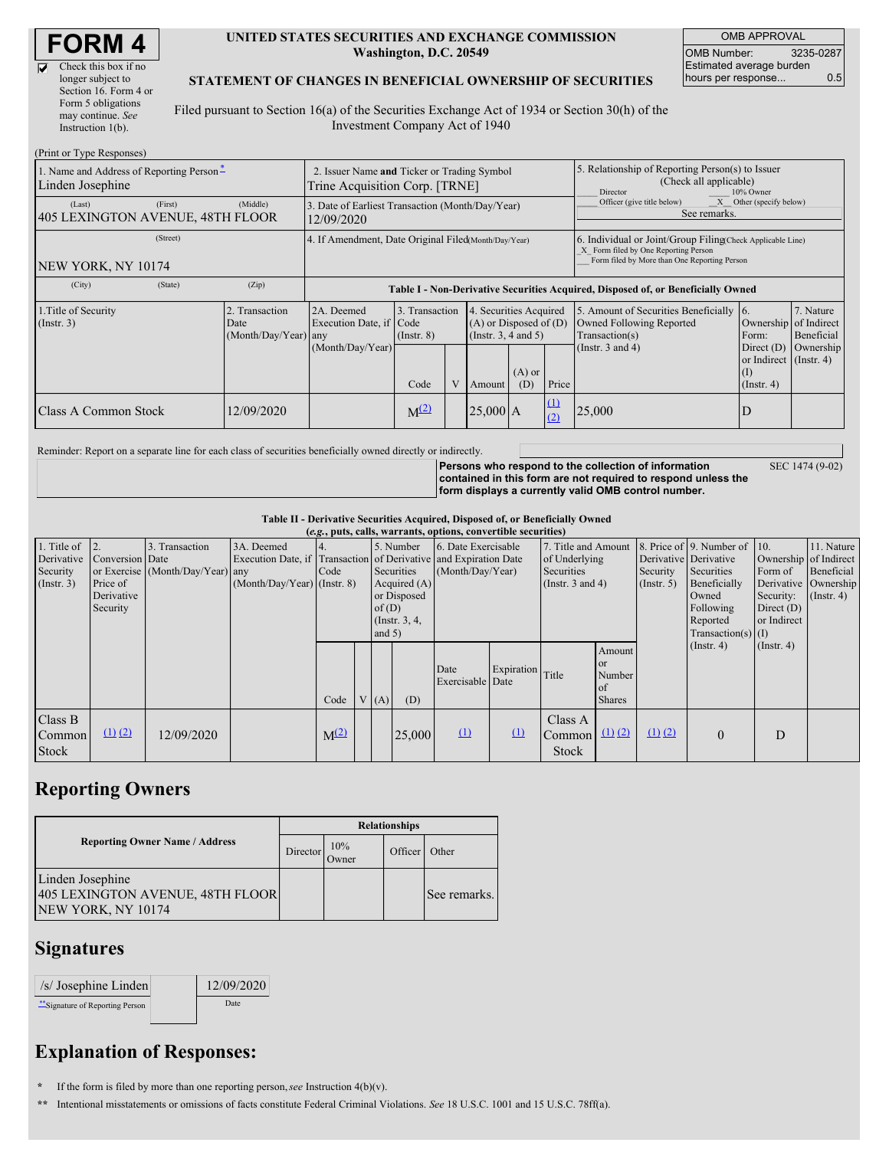$\overline{\nabla}$ 

| Check this box if no  |
|-----------------------|
| longer subject to     |
| Section 16. Form 4 or |
| Form 5 obligations    |
| may continue. See     |
| Instruction $1(b)$ .  |
|                       |

#### **UNITED STATES SECURITIES AND EXCHANGE COMMISSION Washington, D.C. 20549**

OMB APPROVAL OMB Number: 3235-0287 Estimated average burden hours per response... 0.5

### **STATEMENT OF CHANGES IN BENEFICIAL OWNERSHIP OF SECURITIES**

Filed pursuant to Section 16(a) of the Securities Exchange Act of 1934 or Section 30(h) of the Investment Company Act of 1940

| (Print or Type Responses)                                                                    |                                                                               |                                                                                  |                                   |  |                                                                              |                 |                                                                                                     |                                                                                                                                                    |                                                                              |                         |  |
|----------------------------------------------------------------------------------------------|-------------------------------------------------------------------------------|----------------------------------------------------------------------------------|-----------------------------------|--|------------------------------------------------------------------------------|-----------------|-----------------------------------------------------------------------------------------------------|----------------------------------------------------------------------------------------------------------------------------------------------------|------------------------------------------------------------------------------|-------------------------|--|
| 1. Name and Address of Reporting Person-<br>Linden Josephine                                 | 2. Issuer Name and Ticker or Trading Symbol<br>Trine Acquisition Corp. [TRNE] |                                                                                  |                                   |  |                                                                              |                 | 5. Relationship of Reporting Person(s) to Issuer<br>(Check all applicable)<br>Director<br>10% Owner |                                                                                                                                                    |                                                                              |                         |  |
| (Last)<br>(First)<br>405 LEXINGTON AVENUE, 48TH FLOOR                                        | (Middle)                                                                      | 3. Date of Earliest Transaction (Month/Day/Year)<br>12/09/2020                   |                                   |  |                                                                              |                 |                                                                                                     | X Other (specify below)<br>Officer (give title below)<br>See remarks.                                                                              |                                                                              |                         |  |
| (Street)<br>NEW YORK, NY 10174                                                               |                                                                               | 4. If Amendment, Date Original Filed (Month/Day/Year)                            |                                   |  |                                                                              |                 |                                                                                                     | 6. Individual or Joint/Group Filing(Check Applicable Line)<br>X Form filed by One Reporting Person<br>Form filed by More than One Reporting Person |                                                                              |                         |  |
| (City)<br>(State)                                                                            | (Zip)                                                                         | Table I - Non-Derivative Securities Acquired, Disposed of, or Beneficially Owned |                                   |  |                                                                              |                 |                                                                                                     |                                                                                                                                                    |                                                                              |                         |  |
| 1. Title of Security<br>2. Transaction<br>$($ Instr. 3 $)$<br>Date<br>$(Month/Day/Year)$ any |                                                                               | 2A. Deemed<br>Execution Date, if Code                                            | 3. Transaction<br>$($ Instr. $8)$ |  | 4. Securities Acquired<br>$(A)$ or Disposed of $(D)$<br>(Insert. 3, 4 and 5) |                 |                                                                                                     | 5. Amount of Securities Beneficially<br>Owned Following Reported<br>Transaction(s)                                                                 | 16.<br>Ownership of Indirect<br>Form:                                        | 7. Nature<br>Beneficial |  |
|                                                                                              |                                                                               | (Month/Day/Year)                                                                 | Code                              |  | Amount                                                                       | $(A)$ or<br>(D) | Price                                                                                               | (Instr. $3$ and $4$ )                                                                                                                              | Direct $(D)$<br>or Indirect $($ Instr. 4 $)$<br>$\rm(I)$<br>$($ Instr. 4 $)$ | Ownership               |  |
| Class A Common Stock                                                                         | 12/09/2020                                                                    |                                                                                  | $M^{(2)}$                         |  | $25,000$ A                                                                   |                 | $\Omega$<br>(2)                                                                                     | 25,000                                                                                                                                             | D                                                                            |                         |  |

Reminder: Report on a separate line for each class of securities beneficially owned directly or indirectly.

**Persons who respond to the collection of information contained in this form are not required to respond unless the form displays a currently valid OMB control number.**

SEC 1474 (9-02)

**Table II - Derivative Securities Acquired, Disposed of, or Beneficially Owned**

| (e.g., puts, calls, warrants, options, convertible securities) |                                                       |                                                    |                                             |           |                                                                                                                                                                                                                    |      |        |                                                                             |            |                                   |                                                                                                                                               |                                                     |                                                                                               |                  |  |
|----------------------------------------------------------------|-------------------------------------------------------|----------------------------------------------------|---------------------------------------------|-----------|--------------------------------------------------------------------------------------------------------------------------------------------------------------------------------------------------------------------|------|--------|-----------------------------------------------------------------------------|------------|-----------------------------------|-----------------------------------------------------------------------------------------------------------------------------------------------|-----------------------------------------------------|-----------------------------------------------------------------------------------------------|------------------|--|
| 1. Title of<br>Derivative<br>Security<br>(Insert. 3)           | Conversion Date<br>Price of<br>Derivative<br>Security | 3. Transaction<br>or Exercise (Month/Day/Year) any | 3A. Deemed<br>$(Month/Day/Year)$ (Instr. 8) | Code      | 5. Number<br>6. Date Exercisable<br>Execution Date, if Transaction of Derivative and Expiration Date<br>Securities<br>(Month/Day/Year)<br>Acquired $(A)$<br>or Disposed<br>of $(D)$<br>(Instr. $3, 4,$<br>and $5)$ |      |        | 7. Title and Amount<br>of Underlying<br>Securities<br>(Instr. $3$ and $4$ ) |            | Security<br>$($ Instr. 5 $)$      | 8. Price of 9. Number of 10.<br>Derivative Derivative<br>Securities<br>Beneficially<br>Owned<br>Following<br>Reported<br>$Transaction(s)$ (I) | Form of<br>Security:<br>Direct $(D)$<br>or Indirect | 11. Nature<br>Ownership of Indirect<br>Beneficial<br>Derivative Ownership<br>$($ Instr. 4 $)$ |                  |  |
|                                                                |                                                       |                                                    |                                             | Code      |                                                                                                                                                                                                                    | V(A) | (D)    | Date<br>Exercisable Date                                                    | Expiration | Title                             | Amount<br><b>or</b><br>Number<br>of<br><b>Shares</b>                                                                                          |                                                     | $($ Instr. 4 $)$                                                                              | $($ Instr. 4 $)$ |  |
| Class B<br>Common<br>Stock                                     | $(1)$ $(2)$                                           | 12/09/2020                                         |                                             | $M^{(2)}$ |                                                                                                                                                                                                                    |      | 25,000 | $\Omega$                                                                    | $\Omega$   | Class A<br>Common<br><b>Stock</b> | $(1)$ $(2)$                                                                                                                                   | $(1)$ $(2)$                                         | $\theta$                                                                                      | D                |  |

## **Reporting Owners**

|                                                                            | <b>Relationships</b> |              |         |              |  |  |  |
|----------------------------------------------------------------------------|----------------------|--------------|---------|--------------|--|--|--|
| <b>Reporting Owner Name / Address</b>                                      | Director             | 10%<br>Owner | Officer | Other        |  |  |  |
| Linden Josephine<br>405 LEXINGTON AVENUE, 48TH FLOOR<br>NEW YORK, NY 10174 |                      |              |         | See remarks. |  |  |  |

### **Signatures**

| /s/ Josephine Linden          | 12/09/2020 |
|-------------------------------|------------|
| Signature of Reporting Person | Date       |

# **Explanation of Responses:**

**\*** If the form is filed by more than one reporting person,*see* Instruction 4(b)(v).

**\*\*** Intentional misstatements or omissions of facts constitute Federal Criminal Violations. *See* 18 U.S.C. 1001 and 15 U.S.C. 78ff(a).